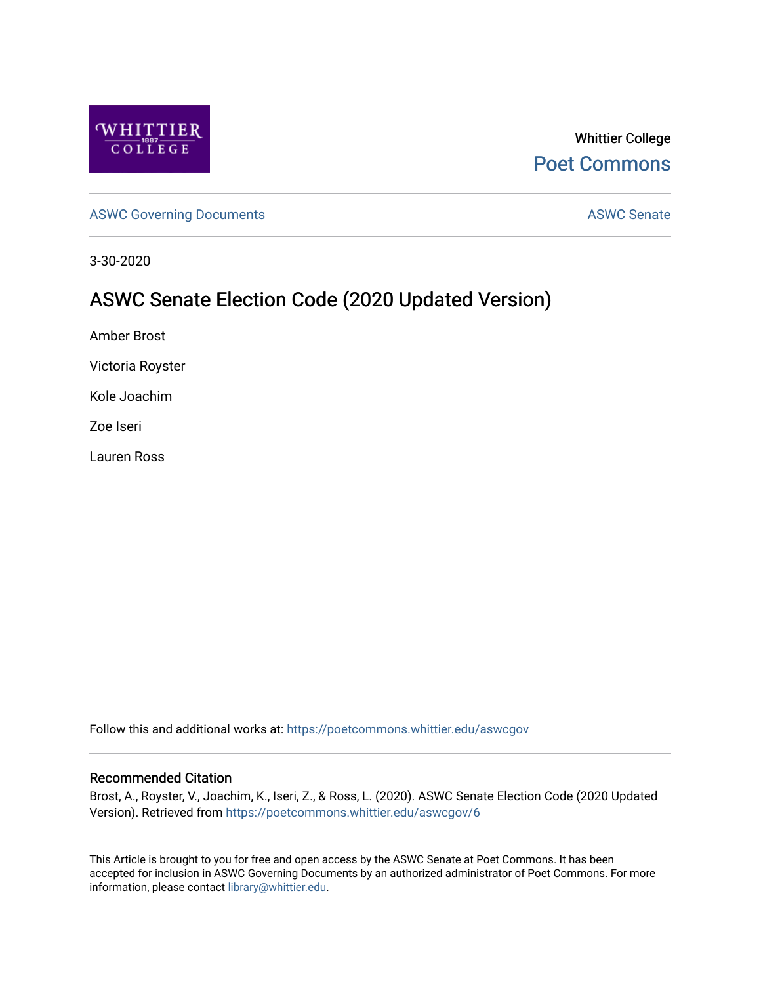

Whittier College [Poet Commons](https://poetcommons.whittier.edu/) 

[ASWC Governing Documents](https://poetcommons.whittier.edu/aswcgov) **ASWC Senate** 

3-30-2020

#### ASWC Senate Election Code (2020 Updated Version)

Amber Brost

Victoria Royster

Kole Joachim

Zoe Iseri

Lauren Ross

Follow this and additional works at: [https://poetcommons.whittier.edu/aswcgov](https://poetcommons.whittier.edu/aswcgov?utm_source=poetcommons.whittier.edu%2Faswcgov%2F6&utm_medium=PDF&utm_campaign=PDFCoverPages) 

#### Recommended Citation

Brost, A., Royster, V., Joachim, K., Iseri, Z., & Ross, L. (2020). ASWC Senate Election Code (2020 Updated Version). Retrieved from [https://poetcommons.whittier.edu/aswcgov/6](https://poetcommons.whittier.edu/aswcgov/6?utm_source=poetcommons.whittier.edu%2Faswcgov%2F6&utm_medium=PDF&utm_campaign=PDFCoverPages)

This Article is brought to you for free and open access by the ASWC Senate at Poet Commons. It has been accepted for inclusion in ASWC Governing Documents by an authorized administrator of Poet Commons. For more information, please contact [library@whittier.edu.](mailto:library@whittier.edu)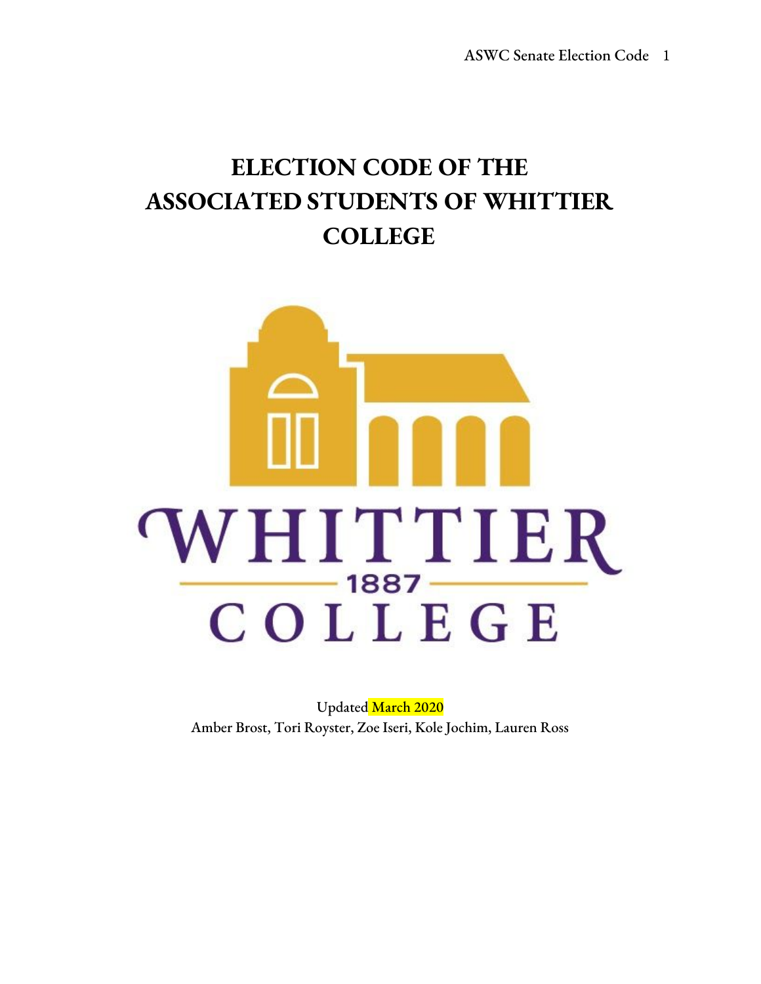# **ELECTION CODE OF THE ASSOCIATED STUDENTS OF WHITTIER COLLEGE**



Updated March 2020 Amber Brost, Tori Royster, Zoe Iseri, Kole Jochim, Lauren Ross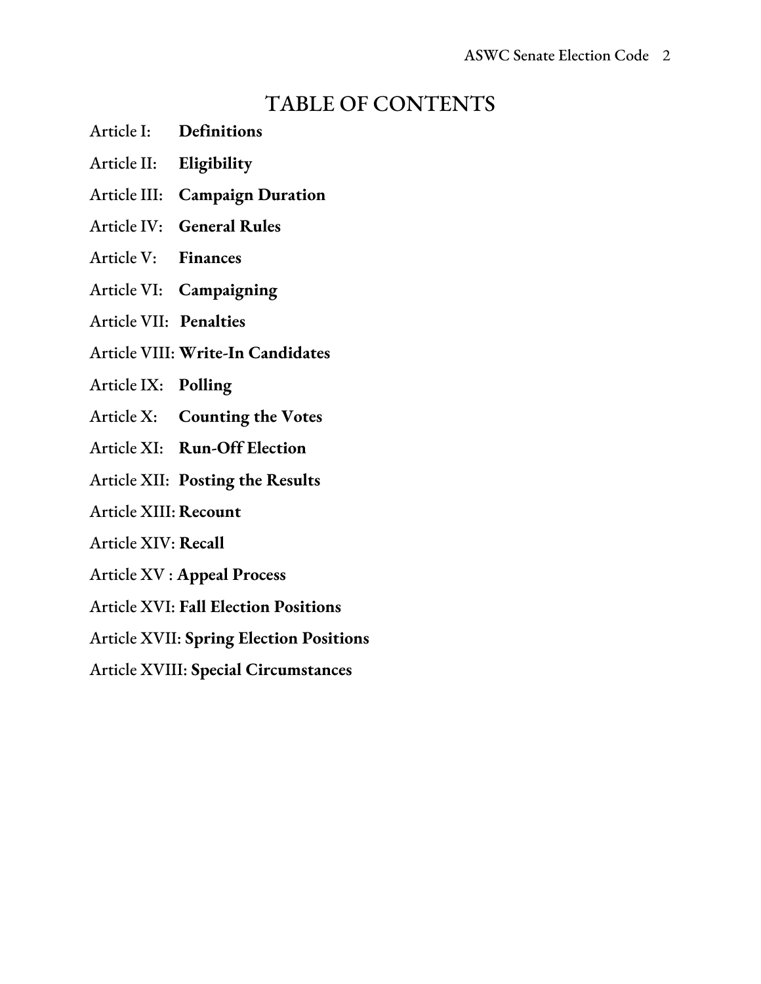### TABLE OF CONTENTS

- Article I: **Definitions**
- Article II: **Eligibility**
- Article III: **Campaign Duration**
- Article IV: **General Rules**
- Article V: **Finances**
- Article VI: **Campaigning**
- Article VII: **Penalties**
- Article VIII: **Write-In Candidates**
- Article IX: **Polling**
- Article X: **Counting the Votes**
- Article XI: **Run-Off Election**
- Article XII: **Posting the Results**
- Article XIII: **Recount**
- Article XIV: **Recall**
- Article XV : **Appeal Process**
- Article XVI: **Fall Election Positions**
- Article XVII: **Spring Election Positions**
- Article XVIII: **Special Circumstances**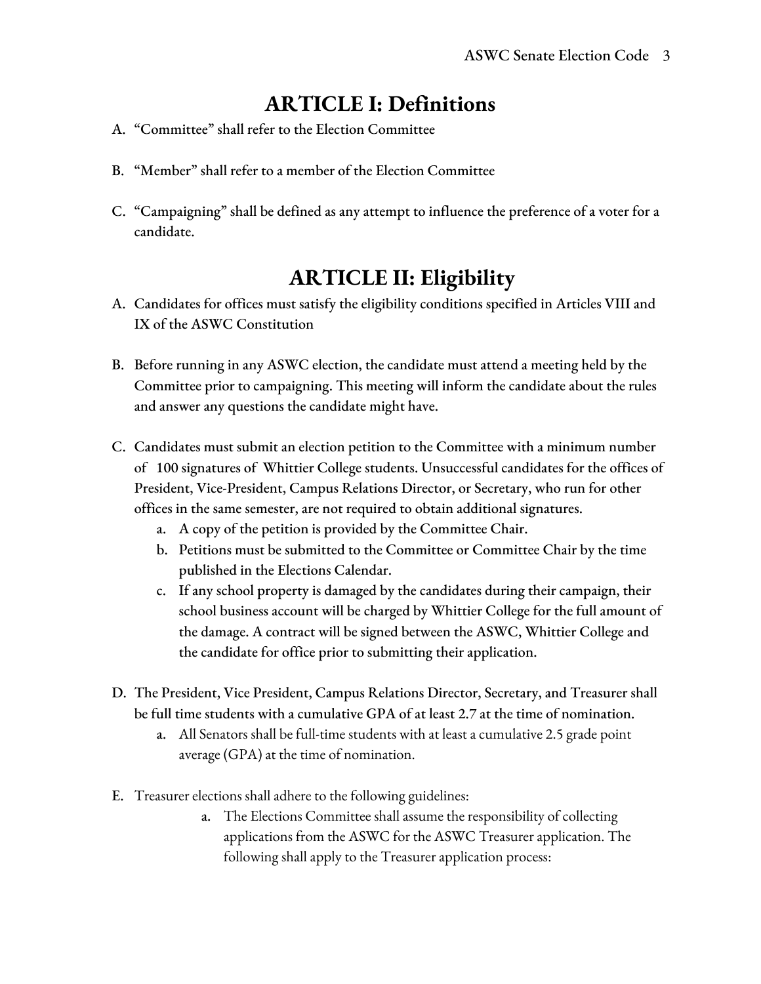# **ARTICLE I: Definitions**

- A. "Committee" shall refer to the Election Committee
- B. "Member" shall refer to a member of the Election Committee
- C. "Campaigning" shall be defined as any attempt to influence the preference of a voter for a candidate.

# **ARTICLE II: Eligibility**

- A. Candidates for offices must satisfy the eligibility conditions specified in Articles VIII and IX of the ASWC Constitution
- B. Before running in any ASWC election, the candidate must attend a meeting held by the Committee prior to campaigning. This meeting will inform the candidate about the rules and answer any questions the candidate might have.
- C. Candidates must submit an election petition to the Committee with a minimum number of 100 signatures of Whittier College students. Unsuccessful candidates for the offices of President, Vice-President, Campus Relations Director, or Secretary, who run for other offices in the same semester, are not required to obtain additional signatures.
	- a. A copy of the petition is provided by the Committee Chair.
	- b. Petitions must be submitted to the Committee or Committee Chair by the time published in the Elections Calendar.
	- c. If any school property is damaged by the candidates during their campaign, their school business account will be charged by Whittier College for the full amount of the damage. A contract will be signed between the ASWC, Whittier College and the candidate for office prior to submitting their application.
- D. The President, Vice President, Campus Relations Director, Secretary, and Treasurer shall be full time students with a cumulative GPA of at least 2.7 at the time of nomination.
	- a. All Senators shall be full-time students with at least a cumulative 2.5 grade point average (GPA) at the time of nomination.
- E. Treasurer elections shall adhere to the following guidelines:
	- a. The Elections Committee shall assume the responsibility of collecting applications from the ASWC for the ASWC Treasurer application. The following shall apply to the Treasurer application process: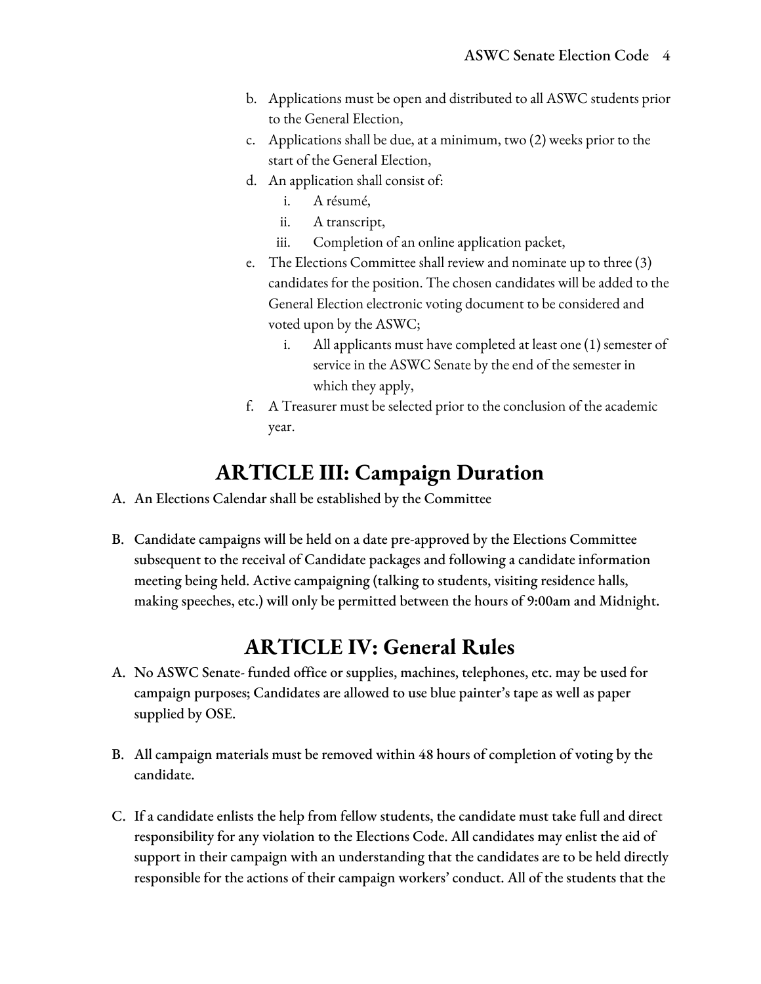- b. Applications must be open and distributed to all ASWC students prior to the General Election,
- c. Applications shall be due, at a minimum, two (2) weeks prior to the start of the General Election,
- d. An application shall consist of:
	- i. A résumé,
	- ii. A transcript,
	- iii. Completion of an online application packet,
- e. The Elections Committee shall review and nominate up to three (3) candidates for the position. The chosen candidates will be added to the General Election electronic voting document to be considered and voted upon by the ASWC;
	- i. All applicants must have completed at least one (1) semester of service in the ASWC Senate by the end of the semester in which they apply,
- f. A Treasurer must be selected prior to the conclusion of the academic year.

# **ARTICLE III: Campaign Duration**

- A. An Elections Calendar shall be established by the Committee
- B. Candidate campaigns will be held on a date pre-approved by the Elections Committee subsequent to the receival of Candidate packages and following a candidate information meeting being held. Active campaigning (talking to students, visiting residence halls, making speeches, etc.) will only be permitted between the hours of 9:00am and Midnight.

### **ARTICLE IV: General Rules**

- A. No ASWC Senate- funded office or supplies, machines, telephones, etc. may be used for campaign purposes; Candidates are allowed to use blue painter's tape as well as paper supplied by OSE.
- B. All campaign materials must be removed within 48 hours of completion of voting by the candidate.
- C. If a candidate enlists the help from fellow students, the candidate must take full and direct responsibility for any violation to the Elections Code. All candidates may enlist the aid of support in their campaign with an understanding that the candidates are to be held directly responsible for the actions of their campaign workers' conduct. All of the students that the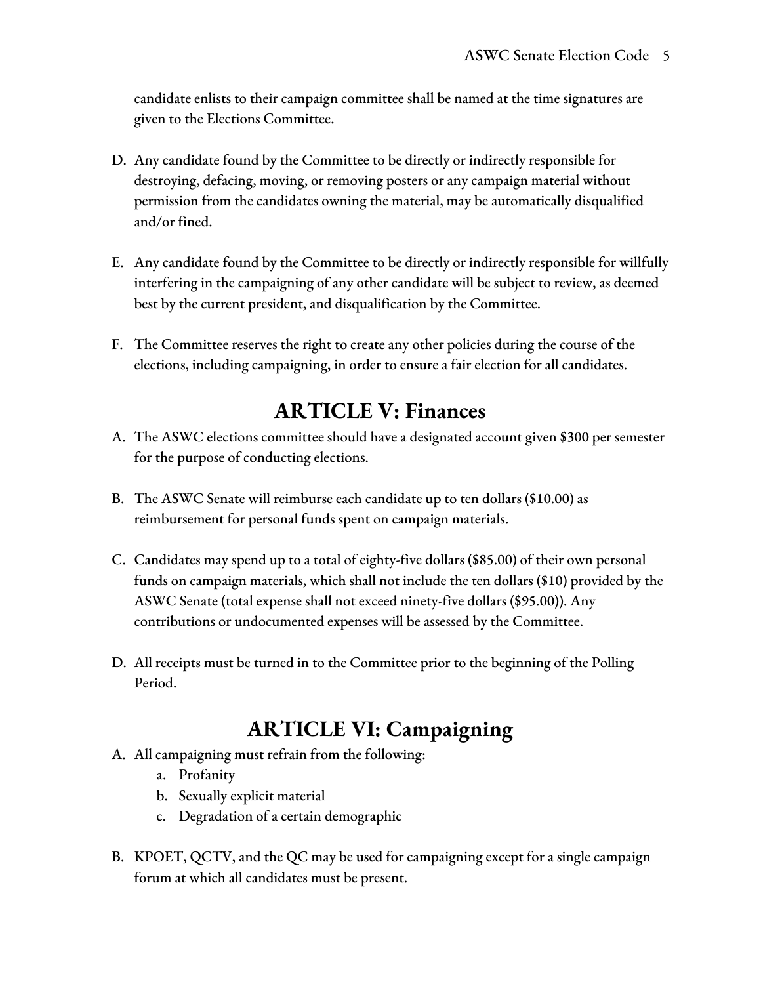candidate enlists to their campaign committee shall be named at the time signatures are given to the Elections Committee.

- D. Any candidate found by the Committee to be directly or indirectly responsible for destroying, defacing, moving, or removing posters or any campaign material without permission from the candidates owning the material, may be automatically disqualified and/or fined.
- E. Any candidate found by the Committee to be directly or indirectly responsible for willfully interfering in the campaigning of any other candidate will be subject to review, as deemed best by the current president, and disqualification by the Committee.
- F. The Committee reserves the right to create any other policies during the course of the elections, including campaigning, in order to ensure a fair election for all candidates.

### **ARTICLE V: Finances**

- A. The ASWC elections committee should have a designated account given \$300 per semester for the purpose of conducting elections.
- B. The ASWC Senate will reimburse each candidate up to ten dollars (\$10.00) as reimbursement for personal funds spent on campaign materials.
- C. Candidates may spend up to a total of eighty-five dollars (\$85.00) of their own personal funds on campaign materials, which shall not include the ten dollars (\$10) provided by the ASWC Senate (total expense shall not exceed ninety-five dollars (\$95.00)). Any contributions or undocumented expenses will be assessed by the Committee.
- D. All receipts must be turned in to the Committee prior to the beginning of the Polling Period.

# **ARTICLE VI: Campaigning**

- A. All campaigning must refrain from the following:
	- a. Profanity
	- b. Sexually explicit material
	- c. Degradation of a certain demographic
- B. KPOET, QCTV, and the QC may be used for campaigning except for a single campaign forum at which all candidates must be present.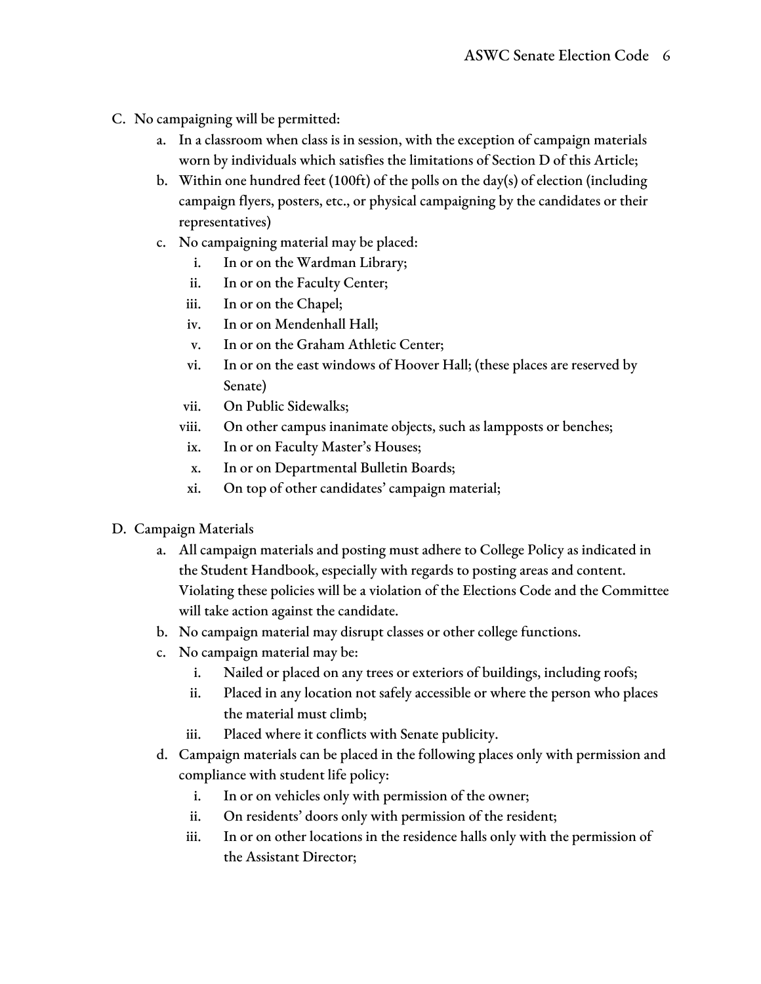- C. No campaigning will be permitted:
	- a. In a classroom when class is in session, with the exception of campaign materials worn by individuals which satisfies the limitations of Section D of this Article;
	- b. Within one hundred feet (100ft) of the polls on the day(s) of election (including campaign flyers, posters, etc., or physical campaigning by the candidates or their representatives)
	- c. No campaigning material may be placed:
		- i. In or on the Wardman Library;
		- ii. In or on the Faculty Center;
		- iii. In or on the Chapel;
		- iv. In or on Mendenhall Hall;
		- v. In or on the Graham Athletic Center;
		- vi. In or on the east windows of Hoover Hall; (these places are reserved by Senate)
		- vii. On Public Sidewalks;
		- viii. On other campus inanimate objects, such as lampposts or benches;
		- ix. In or on Faculty Master's Houses;
		- x. In or on Departmental Bulletin Boards;
		- xi. On top of other candidates' campaign material;
- D. Campaign Materials
	- a. All campaign materials and posting must adhere to College Policy as indicated in the Student Handbook, especially with regards to posting areas and content. Violating these policies will be a violation of the Elections Code and the Committee will take action against the candidate.
	- b. No campaign material may disrupt classes or other college functions.
	- c. No campaign material may be:
		- i. Nailed or placed on any trees or exteriors of buildings, including roofs;
		- ii. Placed in any location not safely accessible or where the person who places the material must climb;
		- iii. Placed where it conflicts with Senate publicity.
	- d. Campaign materials can be placed in the following places only with permission and compliance with student life policy:
		- i. In or on vehicles only with permission of the owner;
		- ii. On residents' doors only with permission of the resident;
		- iii. In or on other locations in the residence halls only with the permission of the Assistant Director;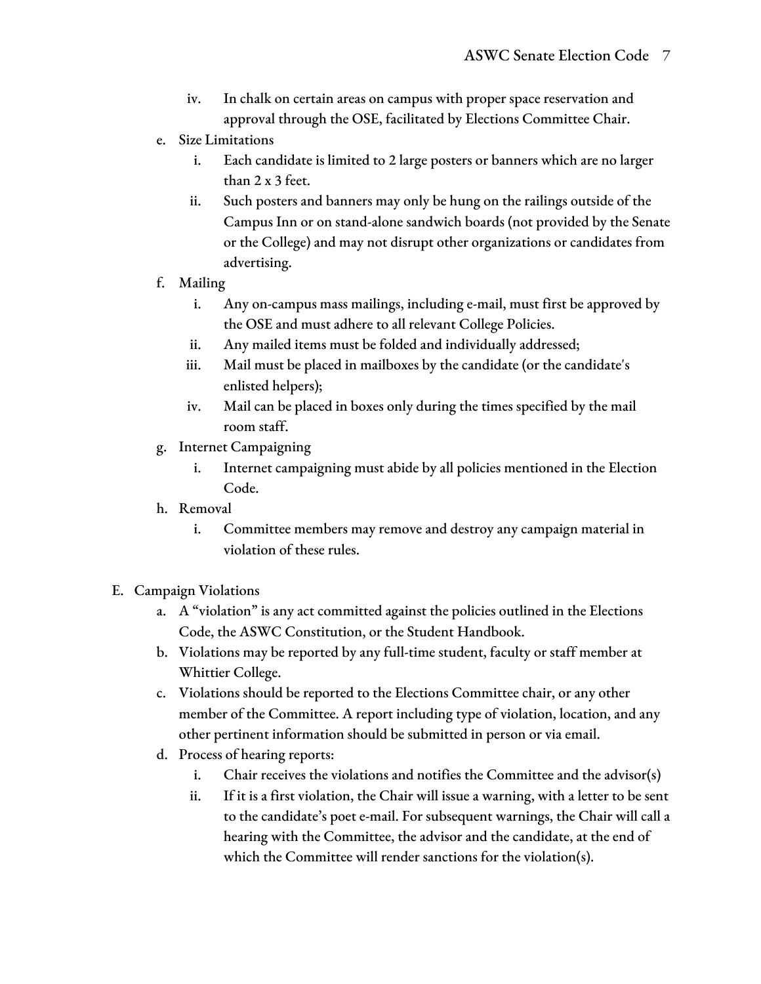- iv. In chalk on certain areas on campus with proper space reservation and approval through the OSE, facilitated by Elections Committee Chair.
- e. Size Limitations
	- i. Each candidate is limited to 2 large posters or banners which are no larger than 2 x 3 feet.
	- ii. Such posters and banners may only be hung on the railings outside of the Campus Inn or on stand-alone sandwich boards (not provided by the Senate or the College) and may not disrupt other organizations or candidates from advertising.
- f. Mailing
	- i. Any on-campus mass mailings, including e-mail, must first be approved by the OSE and must adhere to all relevant College Policies.
	- ii. Any mailed items must be folded and individually addressed;
	- iii. Mail must be placed in mailboxes by the candidate (or the candidate's enlisted helpers);
	- iv. Mail can be placed in boxes only during the times specified by the mail room staff.
- g. Internet Campaigning
	- i. Internet campaigning must abide by all policies mentioned in the Election Code.
- h. Removal
	- i. Committee members may remove and destroy any campaign material in violation of these rules.
- E. Campaign Violations
	- a. A "violation" is any act committed against the policies outlined in the Elections Code, the ASWC Constitution, or the Student Handbook.
	- b. Violations may be reported by any full-time student, faculty or staff member at Whittier College.
	- c. Violations should be reported to the Elections Committee chair, or any other member of the Committee. A report including type of violation, location, and any other pertinent information should be submitted in person or via email.
	- d. Process of hearing reports:
		- i. Chair receives the violations and notifies the Committee and the advisor(s)
		- ii. If it is a first violation, the Chair will issue a warning, with a letter to be sent to the candidate's poet e-mail. For subsequent warnings, the Chair will call a hearing with the Committee, the advisor and the candidate, at the end of which the Committee will render sanctions for the violation(s).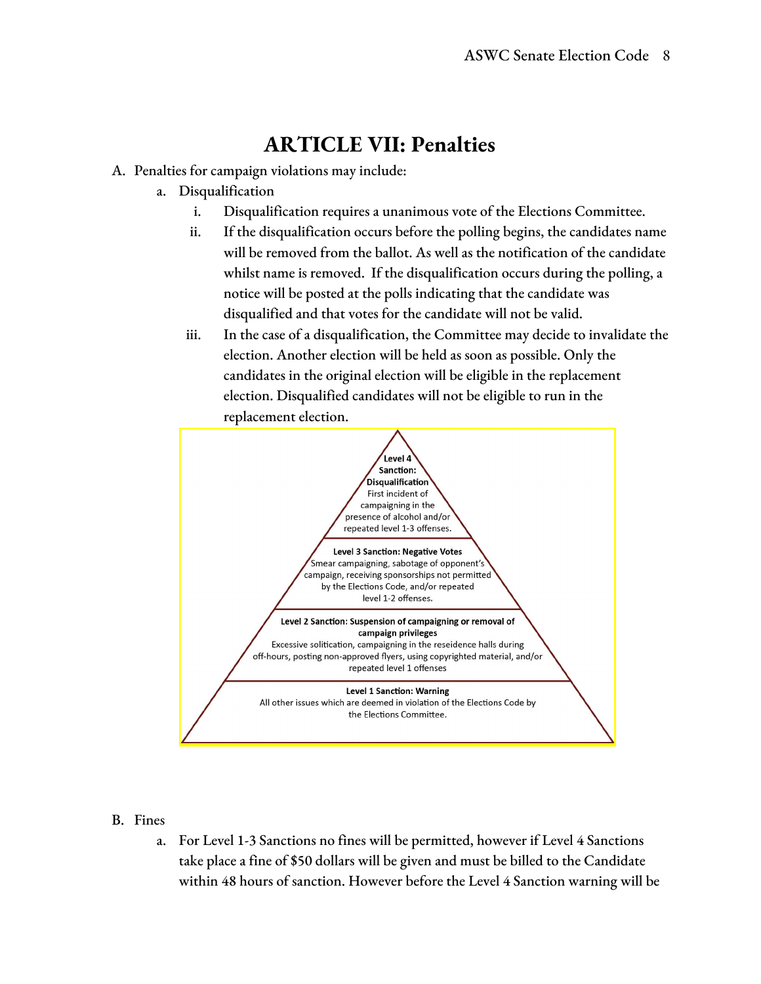# **ARTICLE VII: Penalties**

- A. Penalties for campaign violations may include:
	- a. Disqualification
		- i. Disqualification requires a unanimous vote of the Elections Committee.
		- ii. If the disqualification occurs before the polling begins, the candidates name will be removed from the ballot. As well as the notification of the candidate whilst name is removed. If the disqualification occurs during the polling, a notice will be posted at the polls indicating that the candidate was disqualified and that votes for the candidate will not be valid.
		- iii. In the case of a disqualification, the Committee may decide to invalidate the election. Another election will be held as soon as possible. Only the candidates in the original election will be eligible in the replacement election. Disqualified candidates will not be eligible to run in the replacement election.



#### B. Fines

a. For Level 1-3 Sanctions no fines will be permitted, however if Level 4 Sanctions take place a fine of \$50 dollars will be given and must be billed to the Candidate within 48 hours of sanction. However before the Level 4 Sanction warning will be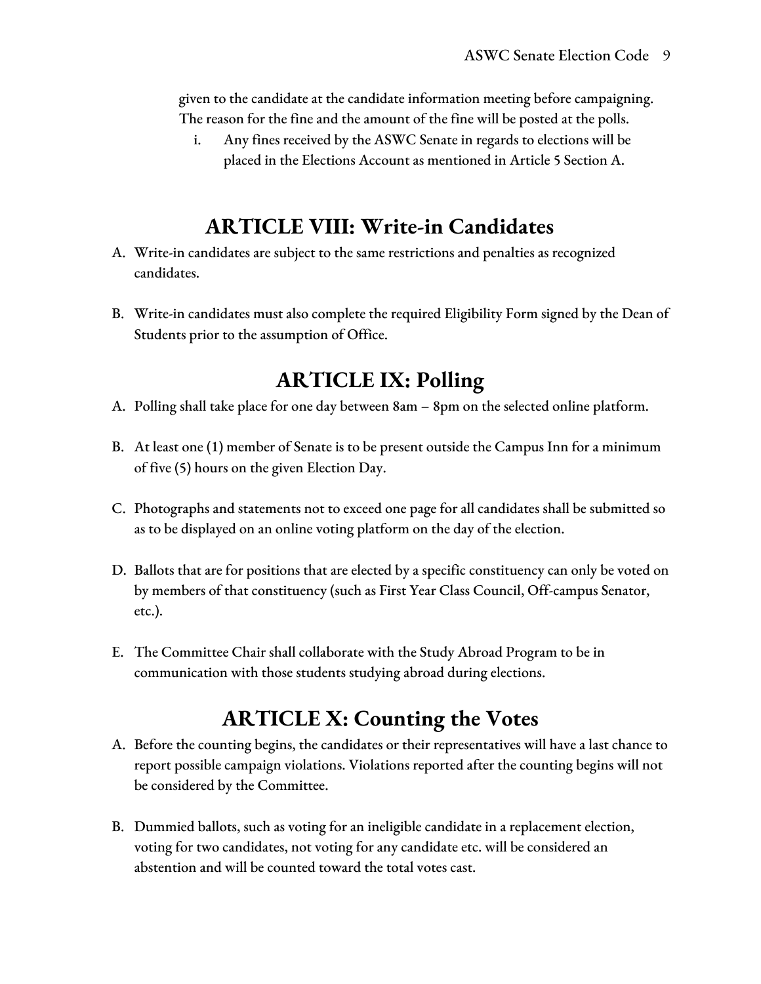given to the candidate at the candidate information meeting before campaigning. The reason for the fine and the amount of the fine will be posted at the polls.

i. Any fines received by the ASWC Senate in regards to elections will be placed in the Elections Account as mentioned in Article 5 Section A.

### **ARTICLE VIII: Write-in Candidates**

- A. Write-in candidates are subject to the same restrictions and penalties as recognized candidates.
- B. Write-in candidates must also complete the required Eligibility Form signed by the Dean of Students prior to the assumption of Office.

### **ARTICLE IX: Polling**

- A. Polling shall take place for one day between 8am 8pm on the selected online platform.
- B. At least one (1) member of Senate is to be present outside the Campus Inn for a minimum of five (5) hours on the given Election Day.
- C. Photographs and statements not to exceed one page for all candidates shall be submitted so as to be displayed on an online voting platform on the day of the election.
- D. Ballots that are for positions that are elected by a specific constituency can only be voted on by members of that constituency (such as First Year Class Council, Off-campus Senator, etc.).
- E. The Committee Chair shall collaborate with the Study Abroad Program to be in communication with those students studying abroad during elections.

# **ARTICLE X: Counting the Votes**

- A. Before the counting begins, the candidates or their representatives will have a last chance to report possible campaign violations. Violations reported after the counting begins will not be considered by the Committee.
- B. Dummied ballots, such as voting for an ineligible candidate in a replacement election, voting for two candidates, not voting for any candidate etc. will be considered an abstention and will be counted toward the total votes cast.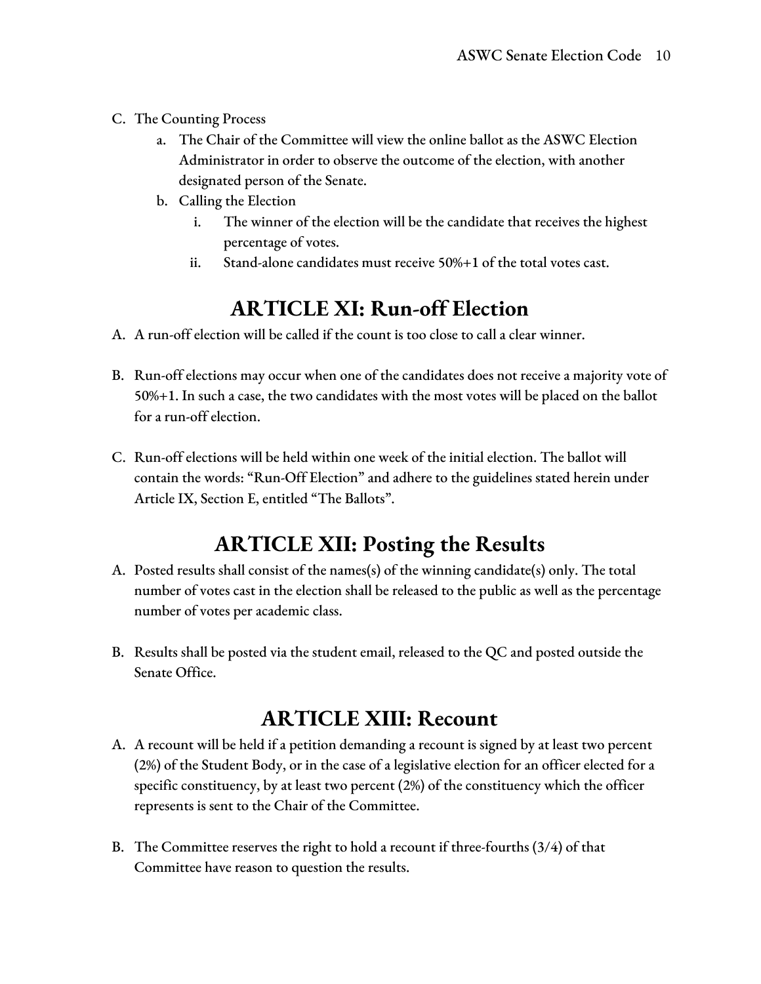- C. The Counting Process
	- a. The Chair of the Committee will view the online ballot as the ASWC Election Administrator in order to observe the outcome of the election, with another designated person of the Senate.
	- b. Calling the Election
		- i. The winner of the election will be the candidate that receives the highest percentage of votes.
		- ii. Stand-alone candidates must receive 50%+1 of the total votes cast.

#### **ARTICLE XI: Run-off Election**

- A. A run-off election will be called if the count is too close to call a clear winner.
- B. Run-off elections may occur when one of the candidates does not receive a majority vote of 50%+1. In such a case, the two candidates with the most votes will be placed on the ballot for a run-off election.
- C. Run-off elections will be held within one week of the initial election. The ballot will contain the words: "Run-Off Election" and adhere to the guidelines stated herein under Article IX, Section E, entitled "The Ballots".

#### **ARTICLE XII: Posting the Results**

- A. Posted results shall consist of the names(s) of the winning candidate(s) only. The total number of votes cast in the election shall be released to the public as well as the percentage number of votes per academic class.
- B. Results shall be posted via the student email, released to the QC and posted outside the Senate Office.

#### **ARTICLE XIII: Recount**

- A. A recount will be held if a petition demanding a recount is signed by at least two percent (2%) of the Student Body, or in the case of a legislative election for an officer elected for a specific constituency, by at least two percent (2%) of the constituency which the officer represents is sent to the Chair of the Committee.
- B. The Committee reserves the right to hold a recount if three-fourths (3/4) of that Committee have reason to question the results.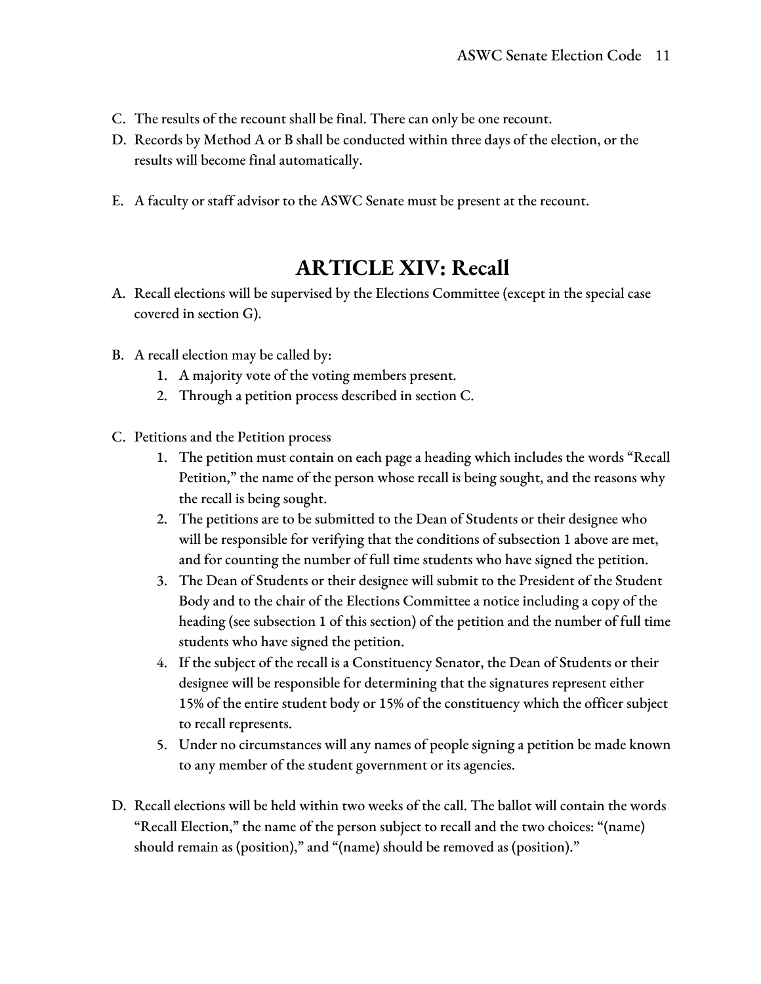- C. The results of the recount shall be final. There can only be one recount.
- D. Records by Method A or B shall be conducted within three days of the election, or the results will become final automatically.
- E. A faculty or staff advisor to the ASWC Senate must be present at the recount.

# **ARTICLE XIV: Recall**

- A. Recall elections will be supervised by the Elections Committee (except in the special case covered in section G).
- B. A recall election may be called by:
	- 1. A majority vote of the voting members present.
	- 2. Through a petition process described in section C.
- C. Petitions and the Petition process
	- 1. The petition must contain on each page a heading which includes the words "Recall Petition," the name of the person whose recall is being sought, and the reasons why the recall is being sought.
	- 2. The petitions are to be submitted to the Dean of Students or their designee who will be responsible for verifying that the conditions of subsection 1 above are met, and for counting the number of full time students who have signed the petition.
	- 3. The Dean of Students or their designee will submit to the President of the Student Body and to the chair of the Elections Committee a notice including a copy of the heading (see subsection 1 of this section) of the petition and the number of full time students who have signed the petition.
	- 4. If the subject of the recall is a Constituency Senator, the Dean of Students or their designee will be responsible for determining that the signatures represent either 15% of the entire student body or 15% of the constituency which the officer subject to recall represents.
	- 5. Under no circumstances will any names of people signing a petition be made known to any member of the student government or its agencies.
- D. Recall elections will be held within two weeks of the call. The ballot will contain the words "Recall Election," the name of the person subject to recall and the two choices: "(name) should remain as (position)," and "(name) should be removed as (position)."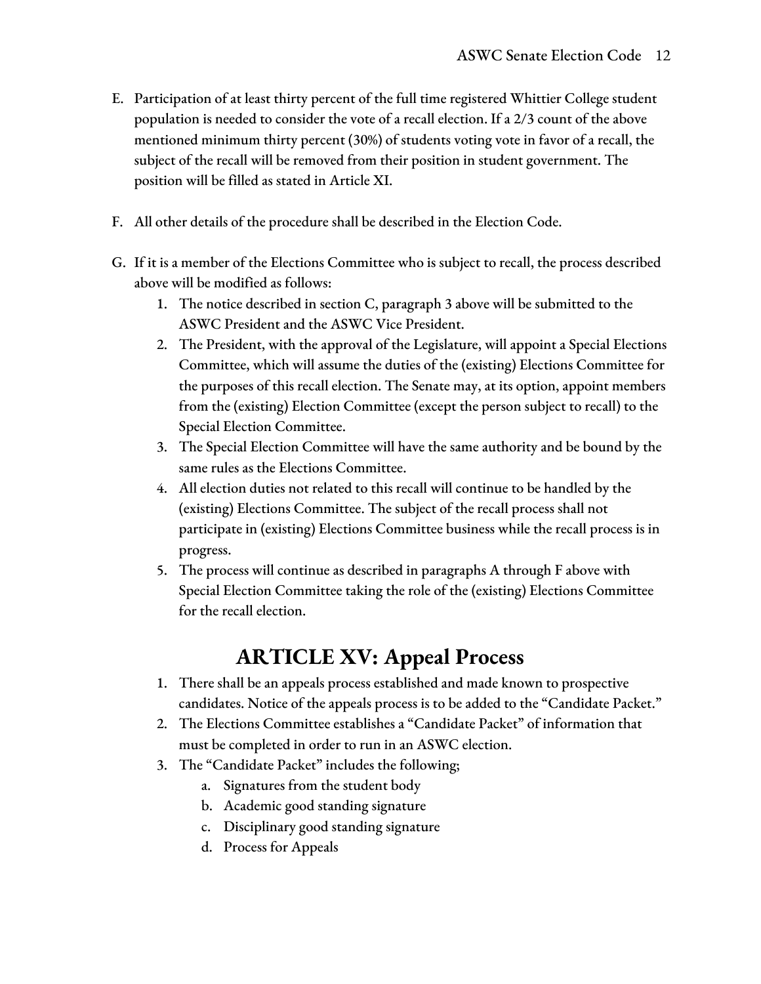- E. Participation of at least thirty percent of the full time registered Whittier College student population is needed to consider the vote of a recall election. If a 2/3 count of the above mentioned minimum thirty percent (30%) of students voting vote in favor of a recall, the subject of the recall will be removed from their position in student government. The position will be filled as stated in Article XI.
- F. All other details of the procedure shall be described in the Election Code.
- G. If it is a member of the Elections Committee who is subject to recall, the process described above will be modified as follows:
	- 1. The notice described in section C, paragraph 3 above will be submitted to the ASWC President and the ASWC Vice President.
	- 2. The President, with the approval of the Legislature, will appoint a Special Elections Committee, which will assume the duties of the (existing) Elections Committee for the purposes of this recall election. The Senate may, at its option, appoint members from the (existing) Election Committee (except the person subject to recall) to the Special Election Committee.
	- 3. The Special Election Committee will have the same authority and be bound by the same rules as the Elections Committee.
	- 4. All election duties not related to this recall will continue to be handled by the (existing) Elections Committee. The subject of the recall process shall not participate in (existing) Elections Committee business while the recall process is in progress.
	- 5. The process will continue as described in paragraphs A through F above with Special Election Committee taking the role of the (existing) Elections Committee for the recall election.

# **ARTICLE XV: Appeal Process**

- 1. There shall be an appeals process established and made known to prospective candidates. Notice of the appeals process is to be added to the "Candidate Packet."
- 2. The Elections Committee establishes a "Candidate Packet" of information that must be completed in order to run in an ASWC election.
- 3. The "Candidate Packet" includes the following;
	- a. Signatures from the student body
	- b. Academic good standing signature
	- c. Disciplinary good standing signature
	- d. Process for Appeals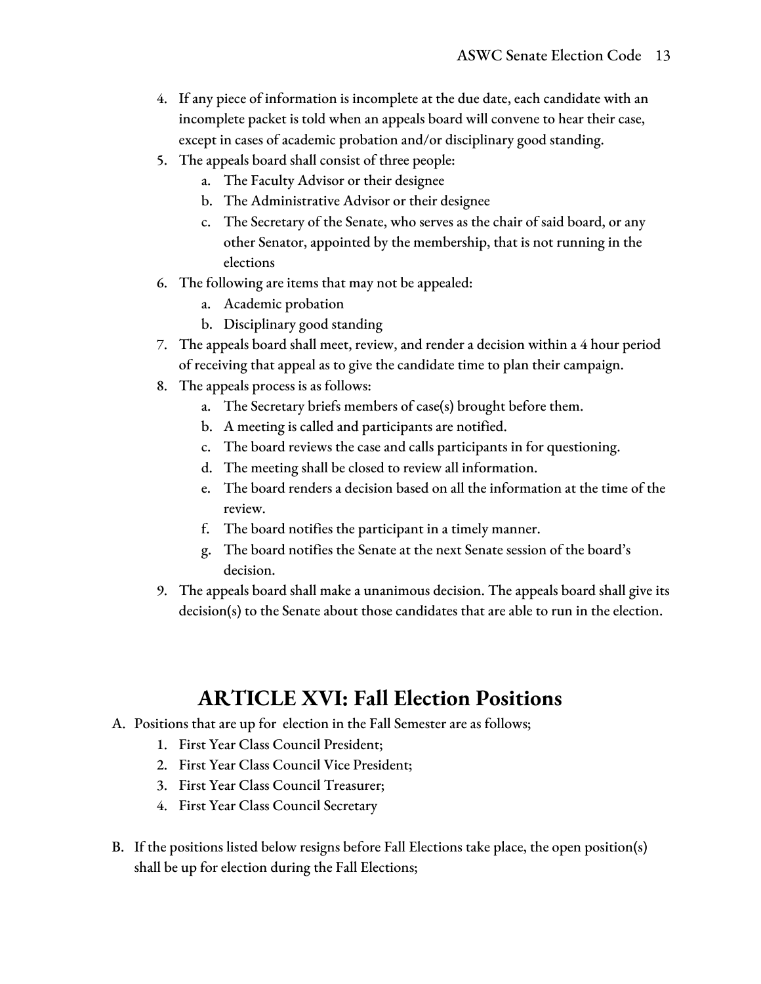- 4. If any piece of information is incomplete at the due date, each candidate with an incomplete packet is told when an appeals board will convene to hear their case, except in cases of academic probation and/or disciplinary good standing.
- 5. The appeals board shall consist of three people:
	- a. The Faculty Advisor or their designee
	- b. The Administrative Advisor or their designee
	- c. The Secretary of the Senate, who serves as the chair of said board, or any other Senator, appointed by the membership, that is not running in the elections
- 6. The following are items that may not be appealed:
	- a. Academic probation
	- b. Disciplinary good standing
- 7. The appeals board shall meet, review, and render a decision within a 4 hour period of receiving that appeal as to give the candidate time to plan their campaign.
- 8. The appeals process is as follows:
	- a. The Secretary briefs members of case(s) brought before them.
	- b. A meeting is called and participants are notified.
	- c. The board reviews the case and calls participants in for questioning.
	- d. The meeting shall be closed to review all information.
	- e. The board renders a decision based on all the information at the time of the review.
	- f. The board notifies the participant in a timely manner.
	- g. The board notifies the Senate at the next Senate session of the board's decision.
- 9. The appeals board shall make a unanimous decision. The appeals board shall give its decision(s) to the Senate about those candidates that are able to run in the election.

### **ARTICLE XVI: Fall Election Positions**

- A. Positions that are up for election in the Fall Semester are as follows;
	- 1. First Year Class Council President;
	- 2. First Year Class Council Vice President;
	- 3. First Year Class Council Treasurer;
	- 4. First Year Class Council Secretary
- B. If the positions listed below resigns before Fall Elections take place, the open position(s) shall be up for election during the Fall Elections;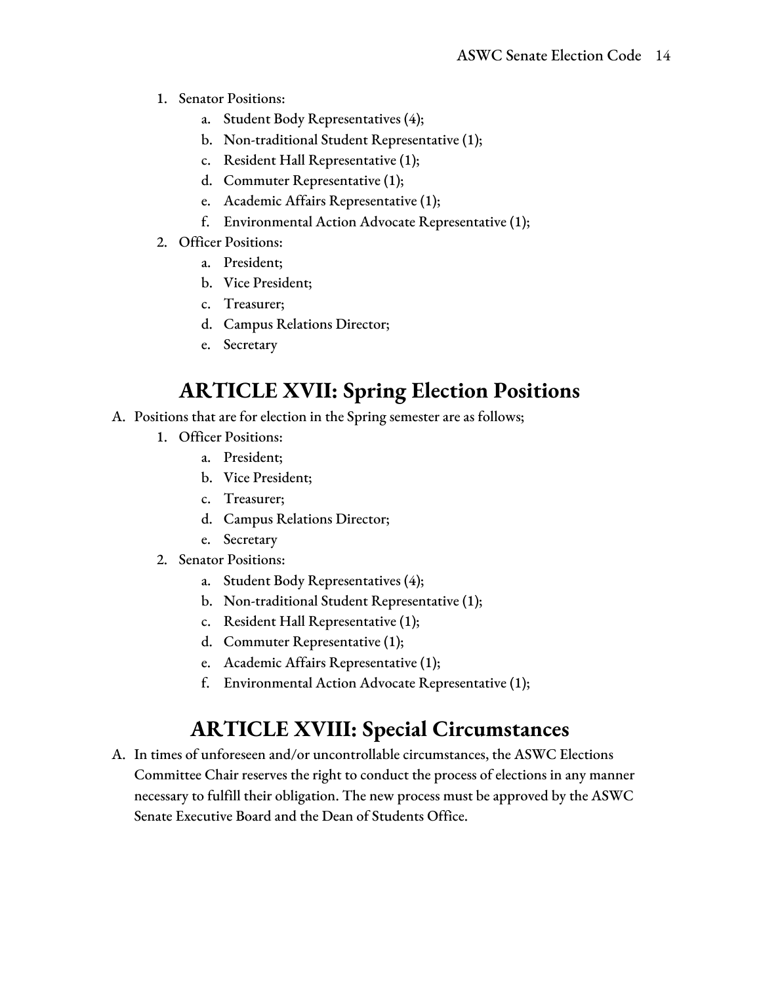- 1. Senator Positions:
	- a. Student Body Representatives (4);
	- b. Non-traditional Student Representative (1);
	- c. Resident Hall Representative (1);
	- d. Commuter Representative (1);
	- e. Academic Affairs Representative (1);
	- f. Environmental Action Advocate Representative (1);
- 2. Officer Positions:
	- a. President;
	- b. Vice President;
	- c. Treasurer;
	- d. Campus Relations Director;
	- e. Secretary

# **ARTICLE XVII: Spring Election Positions**

- A. Positions that are for election in the Spring semester are as follows;
	- 1. Officer Positions:
		- a. President;
		- b. Vice President;
		- c. Treasurer;
		- d. Campus Relations Director;
		- e. Secretary
	- 2. Senator Positions:
		- a. Student Body Representatives (4);
		- b. Non-traditional Student Representative (1);
		- c. Resident Hall Representative (1);
		- d. Commuter Representative (1);
		- e. Academic Affairs Representative (1);
		- f. Environmental Action Advocate Representative (1);

# **ARTICLE XVIII: Special Circumstances**

A. In times of unforeseen and/or uncontrollable circumstances, the ASWC Elections Committee Chair reserves the right to conduct the process of elections in any manner necessary to fulfill their obligation. The new process must be approved by the ASWC Senate Executive Board and the Dean of Students Office.